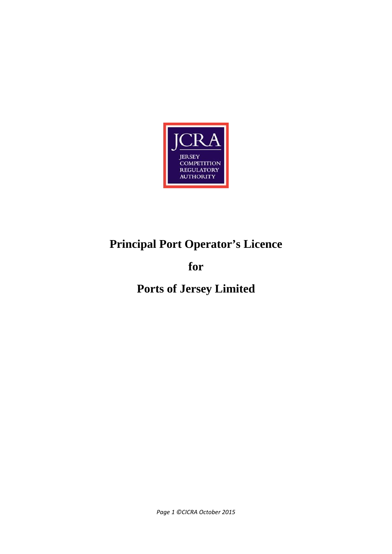

# **Principal Port Operator's Licence**

# **for**

# **Ports of Jersey Limited**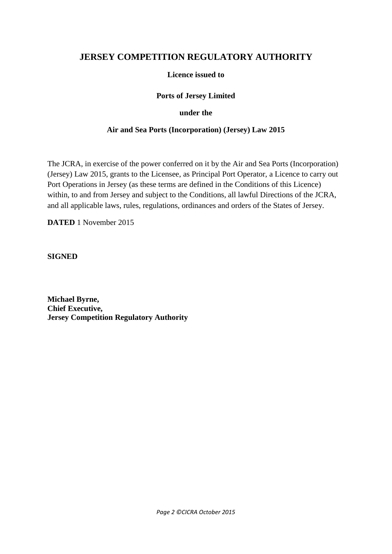# **JERSEY COMPETITION REGULATORY AUTHORITY**

# **Licence issued to**

### **Ports of Jersey Limited**

#### **under the**

#### **Air and Sea Ports (Incorporation) (Jersey) Law 2015**

The JCRA, in exercise of the power conferred on it by the Air and Sea Ports (Incorporation) (Jersey) Law 2015, grants to the Licensee, as Principal Port Operator, a Licence to carry out Port Operations in Jersey (as these terms are defined in the Conditions of this Licence) within, to and from Jersey and subject to the Conditions, all lawful Directions of the JCRA, and all applicable laws, rules, regulations, ordinances and orders of the States of Jersey.

**DATED** 1 November 2015

**SIGNED**

**Michael Byrne, Chief Executive, Jersey Competition Regulatory Authority**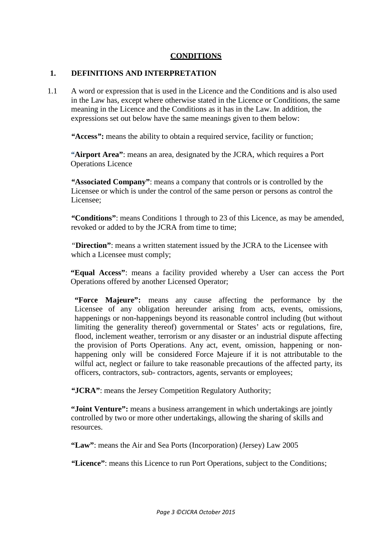#### **CONDITIONS**

#### **1. DEFINITIONS AND INTERPRETATION**

1.1 A word or expression that is used in the Licence and the Conditions and is also used in the Law has, except where otherwise stated in the Licence or Conditions, the same meaning in the Licence and the Conditions as it has in the Law. In addition, the expressions set out below have the same meanings given to them below:

*"***Access***"***:** means the ability to obtain a required service, facility or function;

*"***Airport Area"**: means an area, designated by the JCRA, which requires a Port Operations Licence

*"***Associated Company"**: means a company that controls or is controlled by the Licensee or which is under the control of the same person or persons as control the Licensee;

*"***Conditions"**: means Conditions 1 through to 23 of this Licence, as may be amended, revoked or added to by the JCRA from time to time;

*"***Direction"**: means a written statement issued by the JCRA to the Licensee with which a Licensee must comply;

**"Equal Access"**: means a facility provided whereby a User can access the Port Operations offered by another Licensed Operator;

**"Force Majeure":** means any cause affecting the performance by the Licensee of any obligation hereunder arising from acts, events, omissions, happenings or non-happenings beyond its reasonable control including (but without limiting the generality thereof) governmental or States' acts or regulations, fire, flood, inclement weather, terrorism or any disaster or an industrial dispute affecting the provision of Ports Operations. Any act, event, omission, happening or nonhappening only will be considered Force Majeure if it is not attributable to the wilful act, neglect or failure to take reasonable precautions of the affected party, its officers, contractors, sub- contractors, agents, servants or employees;

*"***JCRA"**: means the Jersey Competition Regulatory Authority;

**"Joint Venture":** means a business arrangement in which undertakings are jointly controlled by two or more other undertakings, allowing the sharing of skills and resources.

**"Law"**: means the Air and Sea Ports (Incorporation) (Jersey) Law 2005

*"***Licence"**: means this Licence to run Port Operations, subject to the Conditions;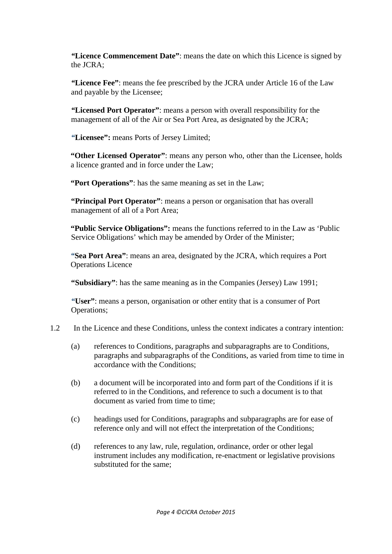*"***Licence Commencement Date"**: means the date on which this Licence is signed by the JCRA;

*"***Licence Fee"**: means the fee prescribed by the JCRA under Article 16 of the Law and payable by the Licensee;

*"***Licensed Port Operator"**: means a person with overall responsibility for the management of all of the Air or Sea Port Area, as designated by the JCRA;

*"***Licensee":** means Ports of Jersey Limited;

**"Other Licensed Operator"**: means any person who, other than the Licensee, holds a licence granted and in force under the Law;

**"Port Operations"**: has the same meaning as set in the Law;

**"Principal Port Operator"**: means a person or organisation that has overall management of all of a Port Area;

**"Public Service Obligations":** means the functions referred to in the Law as 'Public Service Obligations' which may be amended by Order of the Minister;

*"***Sea Port Area"**: means an area, designated by the JCRA, which requires a Port Operations Licence

**"Subsidiary"**: has the same meaning as in the Companies (Jersey) Law 1991;

*"***User"**: means a person, organisation or other entity that is a consumer of Port Operations;

# 1.2 In the Licence and these Conditions, unless the context indicates a contrary intention:

- (a) references to Conditions, paragraphs and subparagraphs are to Conditions, paragraphs and subparagraphs of the Conditions, as varied from time to time in accordance with the Conditions:
- (b) a document will be incorporated into and form part of the Conditions if it is referred to in the Conditions, and reference to such a document is to that document as varied from time to time:
- (c) headings used for Conditions, paragraphs and subparagraphs are for ease of reference only and will not effect the interpretation of the Conditions;
- (d) references to any law, rule, regulation, ordinance, order or other legal instrument includes any modification, re-enactment or legislative provisions substituted for the same;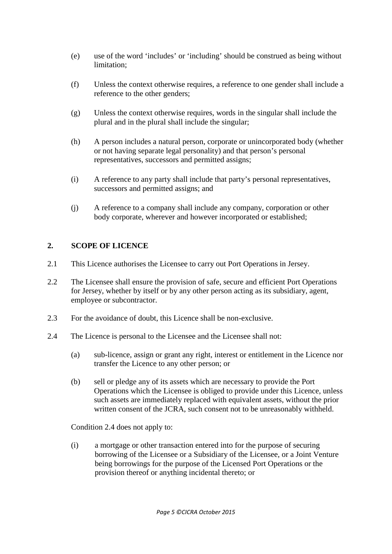- (e) use of the word 'includes' or 'including' should be construed as being without limitation;
- (f) Unless the context otherwise requires, a reference to one gender shall include a reference to the other genders;
- (g) Unless the context otherwise requires, words in the singular shall include the plural and in the plural shall include the singular;
- (h) A person includes a natural person, corporate or unincorporated body (whether or not having separate legal personality) and that person's personal representatives, successors and permitted assigns;
- (i) A reference to any party shall include that party's personal representatives, successors and permitted assigns; and
- (j) A reference to a company shall include any company, corporation or other body corporate, wherever and however incorporated or established;

# **2. SCOPE OF LICENCE**

- 2.1 This Licence authorises the Licensee to carry out Port Operations in Jersey.
- 2.2 The Licensee shall ensure the provision of safe, secure and efficient Port Operations for Jersey, whether by itself or by any other person acting as its subsidiary, agent, employee or subcontractor.
- 2.3 For the avoidance of doubt, this Licence shall be non-exclusive.
- 2.4 The Licence is personal to the Licensee and the Licensee shall not:
	- (a) sub-licence, assign or grant any right, interest or entitlement in the Licence nor transfer the Licence to any other person; or
	- (b) sell or pledge any of its assets which are necessary to provide the Port Operations which the Licensee is obliged to provide under this Licence, unless such assets are immediately replaced with equivalent assets, without the prior written consent of the JCRA, such consent not to be unreasonably withheld.

Condition 2.4 does not apply to:

(i) a mortgage or other transaction entered into for the purpose of securing borrowing of the Licensee or a Subsidiary of the Licensee, or a Joint Venture being borrowings for the purpose of the Licensed Port Operations or the provision thereof or anything incidental thereto; or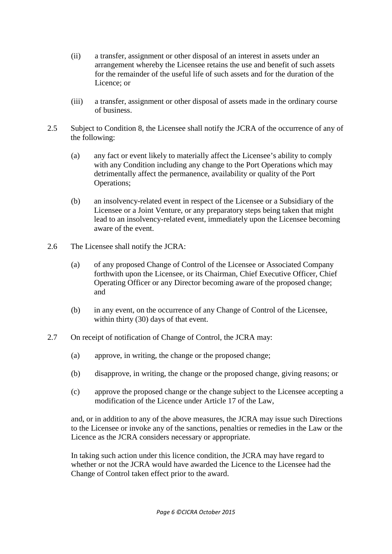- (ii) a transfer, assignment or other disposal of an interest in assets under an arrangement whereby the Licensee retains the use and benefit of such assets for the remainder of the useful life of such assets and for the duration of the Licence; or
- (iii) a transfer, assignment or other disposal of assets made in the ordinary course of business.
- 2.5 Subject to Condition 8, the Licensee shall notify the JCRA of the occurrence of any of the following:
	- (a) any fact or event likely to materially affect the Licensee's ability to comply with any Condition including any change to the Port Operations which may detrimentally affect the permanence, availability or quality of the Port Operations;
	- (b) an insolvency-related event in respect of the Licensee or a Subsidiary of the Licensee or a Joint Venture, or any preparatory steps being taken that might lead to an insolvency-related event, immediately upon the Licensee becoming aware of the event.
- 2.6 The Licensee shall notify the JCRA:
	- (a) of any proposed Change of Control of the Licensee or Associated Company forthwith upon the Licensee, or its Chairman, Chief Executive Officer, Chief Operating Officer or any Director becoming aware of the proposed change; and
	- (b) in any event, on the occurrence of any Change of Control of the Licensee, within thirty (30) days of that event.
- 2.7 On receipt of notification of Change of Control, the JCRA may:
	- (a) approve, in writing, the change or the proposed change;
	- (b) disapprove, in writing, the change or the proposed change, giving reasons; or
	- (c) approve the proposed change or the change subject to the Licensee accepting a modification of the Licence under Article 17 of the Law,

and, or in addition to any of the above measures, the JCRA may issue such Directions to the Licensee or invoke any of the sanctions, penalties or remedies in the Law or the Licence as the JCRA considers necessary or appropriate.

In taking such action under this licence condition, the JCRA may have regard to whether or not the JCRA would have awarded the Licence to the Licensee had the Change of Control taken effect prior to the award.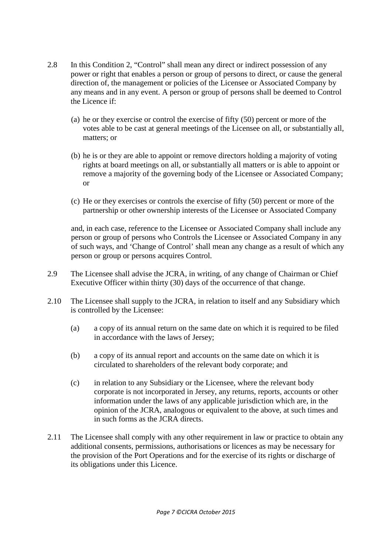- 2.8 In this Condition 2, "Control" shall mean any direct or indirect possession of any power or right that enables a person or group of persons to direct, or cause the general direction of, the management or policies of the Licensee or Associated Company by any means and in any event. A person or group of persons shall be deemed to Control the Licence if:
	- (a) he or they exercise or control the exercise of fifty (50) percent or more of the votes able to be cast at general meetings of the Licensee on all, or substantially all, matters; or
	- (b) he is or they are able to appoint or remove directors holding a majority of voting rights at board meetings on all, or substantially all matters or is able to appoint or remove a majority of the governing body of the Licensee or Associated Company; or
	- (c) He or they exercises or controls the exercise of fifty (50) percent or more of the partnership or other ownership interests of the Licensee or Associated Company

and, in each case, reference to the Licensee or Associated Company shall include any person or group of persons who Controls the Licensee or Associated Company in any of such ways, and 'Change of Control' shall mean any change as a result of which any person or group or persons acquires Control.

- 2.9 The Licensee shall advise the JCRA, in writing, of any change of Chairman or Chief Executive Officer within thirty (30) days of the occurrence of that change.
- 2.10 The Licensee shall supply to the JCRA, in relation to itself and any Subsidiary which is controlled by the Licensee:
	- (a) a copy of its annual return on the same date on which it is required to be filed in accordance with the laws of Jersey;
	- (b) a copy of its annual report and accounts on the same date on which it is circulated to shareholders of the relevant body corporate; and
	- (c) in relation to any Subsidiary or the Licensee, where the relevant body corporate is not incorporated in Jersey, any returns, reports, accounts or other information under the laws of any applicable jurisdiction which are, in the opinion of the JCRA, analogous or equivalent to the above, at such times and in such forms as the JCRA directs.
- 2.11 The Licensee shall comply with any other requirement in law or practice to obtain any additional consents, permissions, authorisations or licences as may be necessary for the provision of the Port Operations and for the exercise of its rights or discharge of its obligations under this Licence.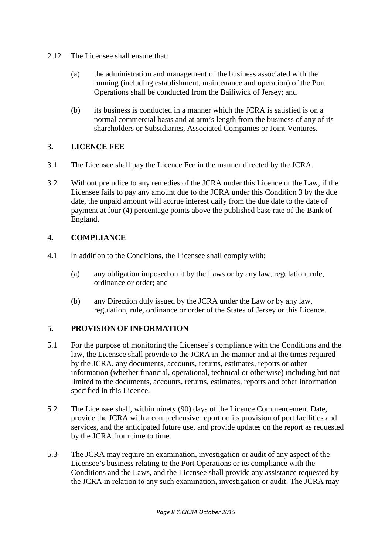- 2.12 The Licensee shall ensure that:
	- (a) the administration and management of the business associated with the running (including establishment, maintenance and operation) of the Port Operations shall be conducted from the Bailiwick of Jersey; and
	- (b) its business is conducted in a manner which the JCRA is satisfied is on a normal commercial basis and at arm's length from the business of any of its shareholders or Subsidiaries, Associated Companies or Joint Ventures.

# **3. LICENCE FEE**

- 3.1 The Licensee shall pay the Licence Fee in the manner directed by the JCRA.
- 3.2 Without prejudice to any remedies of the JCRA under this Licence or the Law, if the Licensee fails to pay any amount due to the JCRA under this Condition 3 by the due date, the unpaid amount will accrue interest daily from the due date to the date of payment at four (4) percentage points above the published base rate of the Bank of England.

# **4. COMPLIANCE**

- 4**.**1 In addition to the Conditions, the Licensee shall comply with:
	- (a) any obligation imposed on it by the Laws or by any law, regulation, rule, ordinance or order; and
	- (b) any Direction duly issued by the JCRA under the Law or by any law, regulation, rule, ordinance or order of the States of Jersey or this Licence.

# **5. PROVISION OF INFORMATION**

- 5.1 For the purpose of monitoring the Licensee's compliance with the Conditions and the law, the Licensee shall provide to the JCRA in the manner and at the times required by the JCRA, any documents, accounts, returns, estimates, reports or other information (whether financial, operational, technical or otherwise) including but not limited to the documents, accounts, returns, estimates, reports and other information specified in this Licence.
- 5.2 The Licensee shall, within ninety (90) days of the Licence Commencement Date, provide the JCRA with a comprehensive report on its provision of port facilities and services, and the anticipated future use, and provide updates on the report as requested by the JCRA from time to time.
- 5.3 The JCRA may require an examination, investigation or audit of any aspect of the Licensee's business relating to the Port Operations or its compliance with the Conditions and the Laws, and the Licensee shall provide any assistance requested by the JCRA in relation to any such examination, investigation or audit. The JCRA may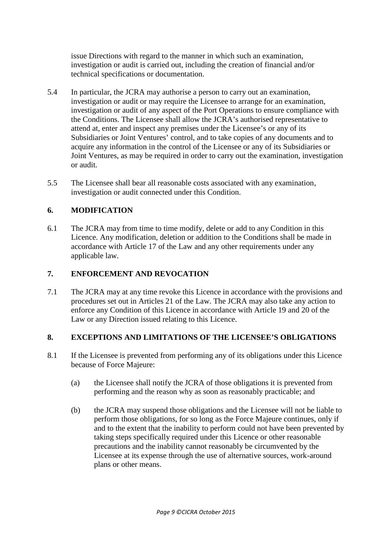issue Directions with regard to the manner in which such an examination, investigation or audit is carried out, including the creation of financial and/or technical specifications or documentation.

- 5.4 In particular, the JCRA may authorise a person to carry out an examination, investigation or audit or may require the Licensee to arrange for an examination, investigation or audit of any aspect of the Port Operations to ensure compliance with the Conditions. The Licensee shall allow the JCRA's authorised representative to attend at, enter and inspect any premises under the Licensee's or any of its Subsidiaries or Joint Ventures' control, and to take copies of any documents and to acquire any information in the control of the Licensee or any of its Subsidiaries or Joint Ventures, as may be required in order to carry out the examination, investigation or audit.
- 5.5 The Licensee shall bear all reasonable costs associated with any examination, investigation or audit connected under this Condition.

# **6. MODIFICATION**

6.1 The JCRA may from time to time modify, delete or add to any Condition in this Licence. Any modification, deletion or addition to the Conditions shall be made in accordance with Article 17 of the Law and any other requirements under any applicable law.

# **7. ENFORCEMENT AND REVOCATION**

7.1 The JCRA may at any time revoke this Licence in accordance with the provisions and procedures set out in Articles 21 of the Law. The JCRA may also take any action to enforce any Condition of this Licence in accordance with Article 19 and 20 of the Law or any Direction issued relating to this Licence.

# **8. EXCEPTIONS AND LIMITATIONS OF THE LICENSEE'S OBLIGATIONS**

- 8.1 If the Licensee is prevented from performing any of its obligations under this Licence because of Force Majeure:
	- (a) the Licensee shall notify the JCRA of those obligations it is prevented from performing and the reason why as soon as reasonably practicable; and
	- (b) the JCRA may suspend those obligations and the Licensee will not be liable to perform those obligations, for so long as the Force Majeure continues, only if and to the extent that the inability to perform could not have been prevented by taking steps specifically required under this Licence or other reasonable precautions and the inability cannot reasonably be circumvented by the Licensee at its expense through the use of alternative sources, work-around plans or other means.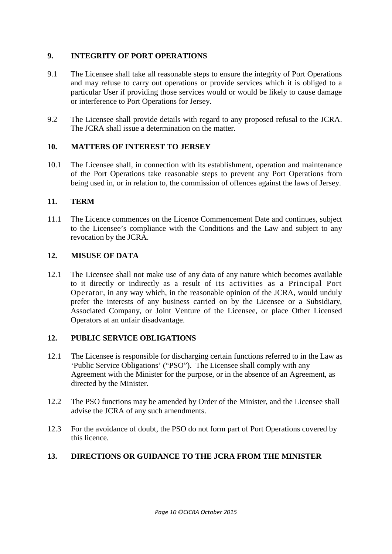# **9. INTEGRITY OF PORT OPERATIONS**

- 9.1 The Licensee shall take all reasonable steps to ensure the integrity of Port Operations and may refuse to carry out operations or provide services which it is obliged to a particular User if providing those services would or would be likely to cause damage or interference to Port Operations for Jersey.
- 9.2 The Licensee shall provide details with regard to any proposed refusal to the JCRA. The JCRA shall issue a determination on the matter.

#### **10. MATTERS OF INTEREST TO JERSEY**

10.1 The Licensee shall, in connection with its establishment, operation and maintenance of the Port Operations take reasonable steps to prevent any Port Operations from being used in, or in relation to, the commission of offences against the laws of Jersey.

#### **11. TERM**

11.1 The Licence commences on the Licence Commencement Date and continues, subject to the Licensee's compliance with the Conditions and the Law and subject to any revocation by the JCRA.

# **12. MISUSE OF DATA**

12.1 The Licensee shall not make use of any data of any nature which becomes available to it directly or indirectly as a result of its activities as a Principal Port Operator, in any way which, in the reasonable opinion of the JCRA, would unduly prefer the interests of any business carried on by the Licensee or a Subsidiary, Associated Company, or Joint Venture of the Licensee, or place Other Licensed Operators at an unfair disadvantage.

# **12. PUBLIC SERVICE OBLIGATIONS**

- 12.1 The Licensee is responsible for discharging certain functions referred to in the Law as 'Public Service Obligations' ("PSO"). The Licensee shall comply with any Agreement with the Minister for the purpose, or in the absence of an Agreement, as directed by the Minister.
- 12.2 The PSO functions may be amended by Order of the Minister, and the Licensee shall advise the JCRA of any such amendments.
- 12.3 For the avoidance of doubt, the PSO do not form part of Port Operations covered by this licence.

# **13. DIRECTIONS OR GUIDANCE TO THE JCRA FROM THE MINISTER**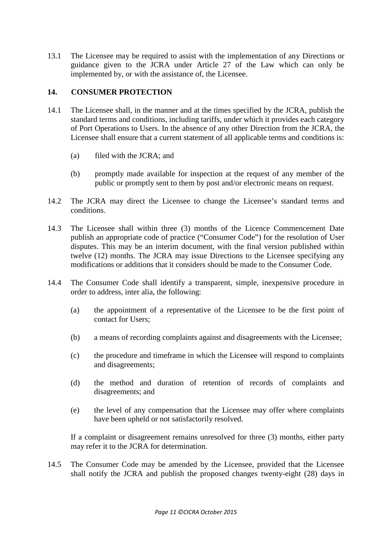13.1 The Licensee may be required to assist with the implementation of any Directions or guidance given to the JCRA under Article 27 of the Law which can only be implemented by, or with the assistance of, the Licensee.

# **14. CONSUMER PROTECTION**

- 14.1 The Licensee shall, in the manner and at the times specified by the JCRA, publish the standard terms and conditions, including tariffs, under which it provides each category of Port Operations to Users. In the absence of any other Direction from the JCRA, the Licensee shall ensure that a current statement of all applicable terms and conditions is:
	- (a) filed with the JCRA; and
	- (b) promptly made available for inspection at the request of any member of the public or promptly sent to them by post and/or electronic means on request.
- 14.2 The JCRA may direct the Licensee to change the Licensee's standard terms and conditions.
- 14.3 The Licensee shall within three (3) months of the Licence Commencement Date publish an appropriate code of practice ("Consumer Code") for the resolution of User disputes. This may be an interim document, with the final version published within twelve (12) months. The JCRA may issue Directions to the Licensee specifying any modifications or additions that it considers should be made to the Consumer Code.
- 14.4 The Consumer Code shall identify a transparent, simple, inexpensive procedure in order to address, inter alia, the following:
	- (a) the appointment of a representative of the Licensee to be the first point of contact for Users;
	- (b) a means of recording complaints against and disagreements with the Licensee;
	- (c) the procedure and timeframe in which the Licensee will respond to complaints and disagreements;
	- (d) the method and duration of retention of records of complaints and disagreements; and
	- (e) the level of any compensation that the Licensee may offer where complaints have been upheld or not satisfactorily resolved.

If a complaint or disagreement remains unresolved for three (3) months, either party may refer it to the JCRA for determination.

14.5 The Consumer Code may be amended by the Licensee, provided that the Licensee shall notify the JCRA and publish the proposed changes twenty-eight (28) days in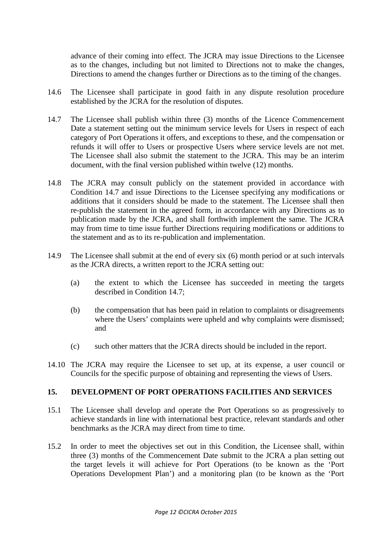advance of their coming into effect. The JCRA may issue Directions to the Licensee as to the changes, including but not limited to Directions not to make the changes, Directions to amend the changes further or Directions as to the timing of the changes.

- 14.6 The Licensee shall participate in good faith in any dispute resolution procedure established by the JCRA for the resolution of disputes.
- 14.7 The Licensee shall publish within three (3) months of the Licence Commencement Date a statement setting out the minimum service levels for Users in respect of each category of Port Operations it offers, and exceptions to these, and the compensation or refunds it will offer to Users or prospective Users where service levels are not met. The Licensee shall also submit the statement to the JCRA. This may be an interim document, with the final version published within twelve (12) months.
- 14.8 The JCRA may consult publicly on the statement provided in accordance with Condition 14.7 and issue Directions to the Licensee specifying any modifications or additions that it considers should be made to the statement. The Licensee shall then re-publish the statement in the agreed form, in accordance with any Directions as to publication made by the JCRA, and shall forthwith implement the same. The JCRA may from time to time issue further Directions requiring modifications or additions to the statement and as to its re-publication and implementation.
- 14.9 The Licensee shall submit at the end of every six (6) month period or at such intervals as the JCRA directs, a written report to the JCRA setting out:
	- (a) the extent to which the Licensee has succeeded in meeting the targets described in Condition 14.7;
	- (b) the compensation that has been paid in relation to complaints or disagreements where the Users' complaints were upheld and why complaints were dismissed; and
	- (c) such other matters that the JCRA directs should be included in the report.
- 14.10 The JCRA may require the Licensee to set up, at its expense, a user council or Councils for the specific purpose of obtaining and representing the views of Users.

# **15. DEVELOPMENT OF PORT OPERATIONS FACILITIES AND SERVICES**

- 15.1 The Licensee shall develop and operate the Port Operations so as progressively to achieve standards in line with international best practice, relevant standards and other benchmarks as the JCRA may direct from time to time.
- 15.2 In order to meet the objectives set out in this Condition, the Licensee shall, within three (3) months of the Commencement Date submit to the JCRA a plan setting out the target levels it will achieve for Port Operations (to be known as the 'Port Operations Development Plan') and a monitoring plan (to be known as the 'Port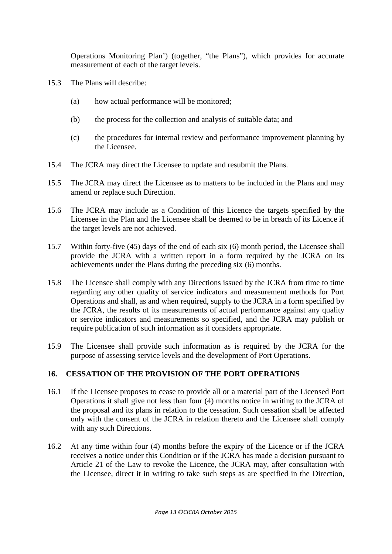Operations Monitoring Plan') (together, "the Plans"), which provides for accurate measurement of each of the target levels.

- 15.3 The Plans will describe:
	- (a) how actual performance will be monitored;
	- (b) the process for the collection and analysis of suitable data; and
	- (c) the procedures for internal review and performance improvement planning by the Licensee.
- 15.4 The JCRA may direct the Licensee to update and resubmit the Plans.
- 15.5 The JCRA may direct the Licensee as to matters to be included in the Plans and may amend or replace such Direction.
- 15.6 The JCRA may include as a Condition of this Licence the targets specified by the Licensee in the Plan and the Licensee shall be deemed to be in breach of its Licence if the target levels are not achieved.
- 15.7 Within forty-five (45) days of the end of each six (6) month period, the Licensee shall provide the JCRA with a written report in a form required by the JCRA on its achievements under the Plans during the preceding six (6) months.
- 15.8 The Licensee shall comply with any Directions issued by the JCRA from time to time regarding any other quality of service indicators and measurement methods for Port Operations and shall, as and when required, supply to the JCRA in a form specified by the JCRA, the results of its measurements of actual performance against any quality or service indicators and measurements so specified, and the JCRA may publish or require publication of such information as it considers appropriate.
- 15.9 The Licensee shall provide such information as is required by the JCRA for the purpose of assessing service levels and the development of Port Operations.

# **16. CESSATION OF THE PROVISION OF THE PORT OPERATIONS**

- 16.1 If the Licensee proposes to cease to provide all or a material part of the Licensed Port Operations it shall give not less than four (4) months notice in writing to the JCRA of the proposal and its plans in relation to the cessation. Such cessation shall be affected only with the consent of the JCRA in relation thereto and the Licensee shall comply with any such Directions.
- 16.2 At any time within four (4) months before the expiry of the Licence or if the JCRA receives a notice under this Condition or if the JCRA has made a decision pursuant to Article 21 of the Law to revoke the Licence, the JCRA may, after consultation with the Licensee, direct it in writing to take such steps as are specified in the Direction,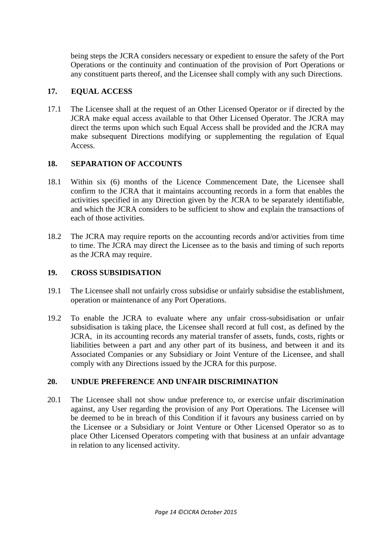being steps the JCRA considers necessary or expedient to ensure the safety of the Port Operations or the continuity and continuation of the provision of Port Operations or any constituent parts thereof, and the Licensee shall comply with any such Directions.

# **17. EQUAL ACCESS**

17.1 The Licensee shall at the request of an Other Licensed Operator or if directed by the JCRA make equal access available to that Other Licensed Operator. The JCRA may direct the terms upon which such Equal Access shall be provided and the JCRA may make subsequent Directions modifying or supplementing the regulation of Equal Access.

#### **18. SEPARATION OF ACCOUNTS**

- 18.1 Within six (6) months of the Licence Commencement Date, the Licensee shall confirm to the JCRA that it maintains accounting records in a form that enables the activities specified in any Direction given by the JCRA to be separately identifiable, and which the JCRA considers to be sufficient to show and explain the transactions of each of those activities.
- 18.2 The JCRA may require reports on the accounting records and/or activities from time to time. The JCRA may direct the Licensee as to the basis and timing of such reports as the JCRA may require.

# **19. CROSS SUBSIDISATION**

- 19.1 The Licensee shall not unfairly cross subsidise or unfairly subsidise the establishment, operation or maintenance of any Port Operations.
- 19.2 To enable the JCRA to evaluate where any unfair cross-subsidisation or unfair subsidisation is taking place, the Licensee shall record at full cost, as defined by the JCRA, in its accounting records any material transfer of assets, funds, costs, rights or liabilities between a part and any other part of its business, and between it and its Associated Companies or any Subsidiary or Joint Venture of the Licensee, and shall comply with any Directions issued by the JCRA for this purpose.

# **20. UNDUE PREFERENCE AND UNFAIR DISCRIMINATION**

20.1 The Licensee shall not show undue preference to, or exercise unfair discrimination against, any User regarding the provision of any Port Operations. The Licensee will be deemed to be in breach of this Condition if it favours any business carried on by the Licensee or a Subsidiary or Joint Venture or Other Licensed Operator so as to place Other Licensed Operators competing with that business at an unfair advantage in relation to any licensed activity.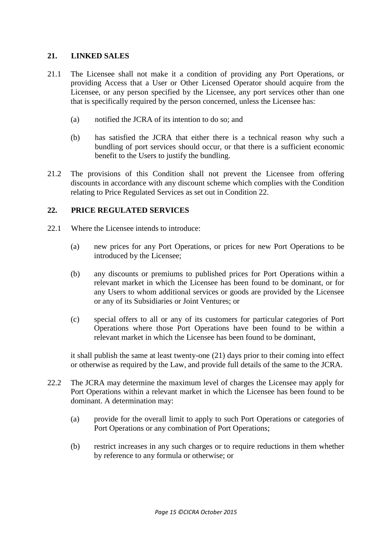### **21. LINKED SALES**

- 21.1 The Licensee shall not make it a condition of providing any Port Operations, or providing Access that a User or Other Licensed Operator should acquire from the Licensee, or any person specified by the Licensee, any port services other than one that is specifically required by the person concerned, unless the Licensee has:
	- (a) notified the JCRA of its intention to do so; and
	- (b) has satisfied the JCRA that either there is a technical reason why such a bundling of port services should occur, or that there is a sufficient economic benefit to the Users to justify the bundling.
- 21.2 The provisions of this Condition shall not prevent the Licensee from offering discounts in accordance with any discount scheme which complies with the Condition relating to Price Regulated Services as set out in Condition 22.

#### **22. PRICE REGULATED SERVICES**

- 22.1 Where the Licensee intends to introduce:
	- (a) new prices for any Port Operations, or prices for new Port Operations to be introduced by the Licensee;
	- (b) any discounts or premiums to published prices for Port Operations within a relevant market in which the Licensee has been found to be dominant, or for any Users to whom additional services or goods are provided by the Licensee or any of its Subsidiaries or Joint Ventures; or
	- (c) special offers to all or any of its customers for particular categories of Port Operations where those Port Operations have been found to be within a relevant market in which the Licensee has been found to be dominant,

it shall publish the same at least twenty-one (21) days prior to their coming into effect or otherwise as required by the Law, and provide full details of the same to the JCRA.

- 22.2 The JCRA may determine the maximum level of charges the Licensee may apply for Port Operations within a relevant market in which the Licensee has been found to be dominant. A determination may:
	- (a) provide for the overall limit to apply to such Port Operations or categories of Port Operations or any combination of Port Operations;
	- (b) restrict increases in any such charges or to require reductions in them whether by reference to any formula or otherwise; or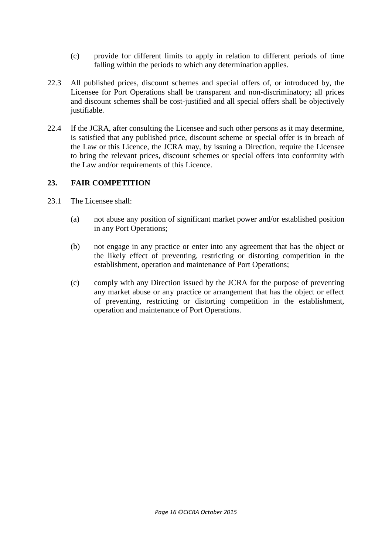- (c) provide for different limits to apply in relation to different periods of time falling within the periods to which any determination applies.
- 22.3 All published prices, discount schemes and special offers of, or introduced by, the Licensee for Port Operations shall be transparent and non-discriminatory; all prices and discount schemes shall be cost-justified and all special offers shall be objectively justifiable.
- 22.4 If the JCRA, after consulting the Licensee and such other persons as it may determine, is satisfied that any published price, discount scheme or special offer is in breach of the Law or this Licence, the JCRA may, by issuing a Direction, require the Licensee to bring the relevant prices, discount schemes or special offers into conformity with the Law and/or requirements of this Licence.

#### **23. FAIR COMPETITION**

- 23.1 The Licensee shall:
	- (a) not abuse any position of significant market power and/or established position in any Port Operations;
	- (b) not engage in any practice or enter into any agreement that has the object or the likely effect of preventing, restricting or distorting competition in the establishment, operation and maintenance of Port Operations;
	- (c) comply with any Direction issued by the JCRA for the purpose of preventing any market abuse or any practice or arrangement that has the object or effect of preventing, restricting or distorting competition in the establishment, operation and maintenance of Port Operations.